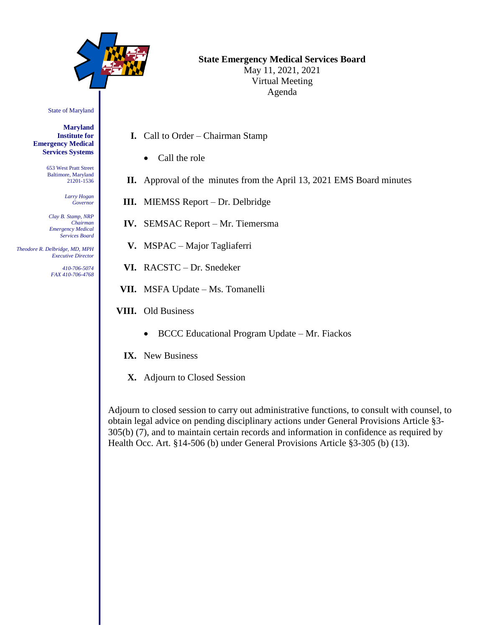

# **State Emergency Medical Services Board**

May 11, 2021, 2021 Virtual Meeting Agenda

State of Maryland

**Maryland Institute for Emergency Medical Services Systems**

> 653 West Pratt Street Baltimore, Maryland 21201-1536

> > *Larry Hogan Governor*

*Clay B. Stamp, NRP Chairman Emergency Medical Services Board*

 *Theodore R. Delbridge, MD, MPH Executive Director*

> *410-706-5074 FAX 410-706-4768*

- **I.** Call to Order Chairman Stamp
	- Call the role
- **II.** Approval of the minutes from the April 13, 2021 EMS Board minutes
- **III.** MIEMSS Report Dr. Delbridge
- **IV.** SEMSAC Report Mr. Tiemersma
- **V.** MSPAC Major Tagliaferri
- **VI.** RACSTC Dr. Snedeker
- **VII.** MSFA Update Ms. Tomanelli
- **VIII.** Old Business
	- BCCC Educational Program Update Mr. Fiackos
	- **IX.** New Business
	- **X.** Adjourn to Closed Session

Adjourn to closed session to carry out administrative functions, to consult with counsel, to obtain legal advice on pending disciplinary actions under General Provisions Article §3- 305(b) (7), and to maintain certain records and information in confidence as required by Health Occ. Art. §14-506 (b) under General Provisions Article §3-305 (b) (13).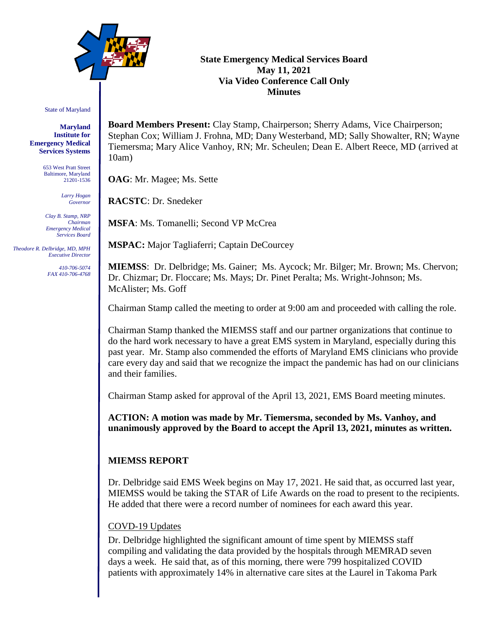

## **State Emergency Medical Services Board May 11, 2021 Via Video Conference Call Only Minutes**

State of Maryland

**Maryland Institute for Emergency Medical Services Systems**

> 653 West Pratt Street Baltimore, Maryland 21201-1536

> > *Larry Hogan Governor*

*Clay B. Stamp, NRP Chairman Emergency Medical Services Board*

 *Theodore R. Delbridge, MD, MPH Executive Director*

> *410-706-5074 FAX 410-706-4768*

**Board Members Present:** Clay Stamp, Chairperson; Sherry Adams, Vice Chairperson; Stephan Cox; William J. Frohna, MD; Dany Westerband, MD; Sally Showalter, RN; Wayne Tiemersma; Mary Alice Vanhoy, RN; Mr. Scheulen; Dean E. Albert Reece, MD (arrived at 10am)

**OAG**: Mr. Magee; Ms. Sette

**RACSTC**: Dr. Snedeker

**MSFA**: Ms. Tomanelli; Second VP McCrea

**MSPAC:** Major Tagliaferri; Captain DeCourcey

**MIEMSS**: Dr. Delbridge; Ms. Gainer; Ms. Aycock; Mr. Bilger; Mr. Brown; Ms. Chervon; Dr. Chizmar; Dr. Floccare; Ms. Mays; Dr. Pinet Peralta; Ms. Wright-Johnson; Ms. McAlister; Ms. Goff

Chairman Stamp called the meeting to order at 9:00 am and proceeded with calling the role.

Chairman Stamp thanked the MIEMSS staff and our partner organizations that continue to do the hard work necessary to have a great EMS system in Maryland, especially during this past year. Mr. Stamp also commended the efforts of Maryland EMS clinicians who provide care every day and said that we recognize the impact the pandemic has had on our clinicians and their families.

Chairman Stamp asked for approval of the April 13, 2021, EMS Board meeting minutes.

**ACTION: A motion was made by Mr. Tiemersma, seconded by Ms. Vanhoy, and unanimously approved by the Board to accept the April 13, 2021, minutes as written.**

## **MIEMSS REPORT**

Dr. Delbridge said EMS Week begins on May 17, 2021. He said that, as occurred last year, MIEMSS would be taking the STAR of Life Awards on the road to present to the recipients. He added that there were a record number of nominees for each award this year.

## COVD-19 Updates

Dr. Delbridge highlighted the significant amount of time spent by MIEMSS staff compiling and validating the data provided by the hospitals through MEMRAD seven days a week. He said that, as of this morning, there were 799 hospitalized COVID patients with approximately 14% in alternative care sites at the Laurel in Takoma Park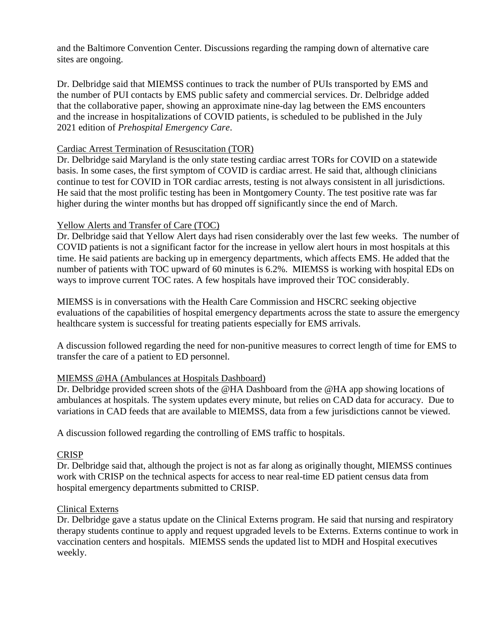and the Baltimore Convention Center. Discussions regarding the ramping down of alternative care sites are ongoing.

Dr. Delbridge said that MIEMSS continues to track the number of PUIs transported by EMS and the number of PUI contacts by EMS public safety and commercial services. Dr. Delbridge added that the collaborative paper, showing an approximate nine-day lag between the EMS encounters and the increase in hospitalizations of COVID patients, is scheduled to be published in the July 2021 edition of *Prehospital Emergency Care*.

### Cardiac Arrest Termination of Resuscitation (TOR)

Dr. Delbridge said Maryland is the only state testing cardiac arrest TORs for COVID on a statewide basis. In some cases, the first symptom of COVID is cardiac arrest. He said that, although clinicians continue to test for COVID in TOR cardiac arrests, testing is not always consistent in all jurisdictions. He said that the most prolific testing has been in Montgomery County. The test positive rate was far higher during the winter months but has dropped off significantly since the end of March.

## Yellow Alerts and Transfer of Care (TOC)

Dr. Delbridge said that Yellow Alert days had risen considerably over the last few weeks. The number of COVID patients is not a significant factor for the increase in yellow alert hours in most hospitals at this time. He said patients are backing up in emergency departments, which affects EMS. He added that the number of patients with TOC upward of 60 minutes is 6.2%. MIEMSS is working with hospital EDs on ways to improve current TOC rates. A few hospitals have improved their TOC considerably.

MIEMSS is in conversations with the Health Care Commission and HSCRC seeking objective evaluations of the capabilities of hospital emergency departments across the state to assure the emergency healthcare system is successful for treating patients especially for EMS arrivals.

A discussion followed regarding the need for non-punitive measures to correct length of time for EMS to transfer the care of a patient to ED personnel.

## MIEMSS @HA (Ambulances at Hospitals Dashboard)

Dr. Delbridge provided screen shots of the @HA Dashboard from the @HA app showing locations of ambulances at hospitals. The system updates every minute, but relies on CAD data for accuracy. Due to variations in CAD feeds that are available to MIEMSS, data from a few jurisdictions cannot be viewed.

A discussion followed regarding the controlling of EMS traffic to hospitals.

#### **CRISP**

Dr. Delbridge said that, although the project is not as far along as originally thought, MIEMSS continues work with CRISP on the technical aspects for access to near real-time ED patient census data from hospital emergency departments submitted to CRISP.

### Clinical Externs

Dr. Delbridge gave a status update on the Clinical Externs program. He said that nursing and respiratory therapy students continue to apply and request upgraded levels to be Externs. Externs continue to work in vaccination centers and hospitals. MIEMSS sends the updated list to MDH and Hospital executives weekly.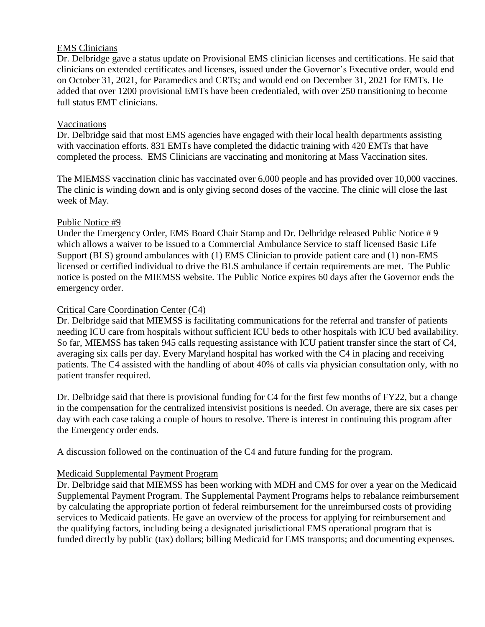## EMS Clinicians

Dr. Delbridge gave a status update on Provisional EMS clinician licenses and certifications. He said that clinicians on extended certificates and licenses, issued under the Governor's Executive order, would end on October 31, 2021, for Paramedics and CRTs; and would end on December 31, 2021 for EMTs. He added that over 1200 provisional EMTs have been credentialed, with over 250 transitioning to become full status EMT clinicians.

## Vaccinations

Dr. Delbridge said that most EMS agencies have engaged with their local health departments assisting with vaccination efforts. 831 EMTs have completed the didactic training with 420 EMTs that have completed the process. EMS Clinicians are vaccinating and monitoring at Mass Vaccination sites.

The MIEMSS vaccination clinic has vaccinated over 6,000 people and has provided over 10,000 vaccines. The clinic is winding down and is only giving second doses of the vaccine. The clinic will close the last week of May.

## Public Notice #9

Under the Emergency Order, EMS Board Chair Stamp and Dr. Delbridge released Public Notice # 9 which allows a waiver to be issued to a Commercial Ambulance Service to staff licensed Basic Life Support (BLS) ground ambulances with (1) EMS Clinician to provide patient care and (1) non-EMS licensed or certified individual to drive the BLS ambulance if certain requirements are met. The Public notice is posted on the MIEMSS website. The Public Notice expires 60 days after the Governor ends the emergency order.

## Critical Care Coordination Center (C4)

Dr. Delbridge said that MIEMSS is facilitating communications for the referral and transfer of patients needing ICU care from hospitals without sufficient ICU beds to other hospitals with ICU bed availability. So far, MIEMSS has taken 945 calls requesting assistance with ICU patient transfer since the start of C4, averaging six calls per day. Every Maryland hospital has worked with the C4 in placing and receiving patients. The C4 assisted with the handling of about 40% of calls via physician consultation only, with no patient transfer required.

Dr. Delbridge said that there is provisional funding for C4 for the first few months of FY22, but a change in the compensation for the centralized intensivist positions is needed. On average, there are six cases per day with each case taking a couple of hours to resolve. There is interest in continuing this program after the Emergency order ends.

A discussion followed on the continuation of the C4 and future funding for the program.

## Medicaid Supplemental Payment Program

Dr. Delbridge said that MIEMSS has been working with MDH and CMS for over a year on the Medicaid Supplemental Payment Program. The Supplemental Payment Programs helps to rebalance reimbursement by calculating the appropriate portion of federal reimbursement for the unreimbursed costs of providing services to Medicaid patients. He gave an overview of the process for applying for reimbursement and the qualifying factors, including being a designated jurisdictional EMS operational program that is funded directly by public (tax) dollars; billing Medicaid for EMS transports; and documenting expenses.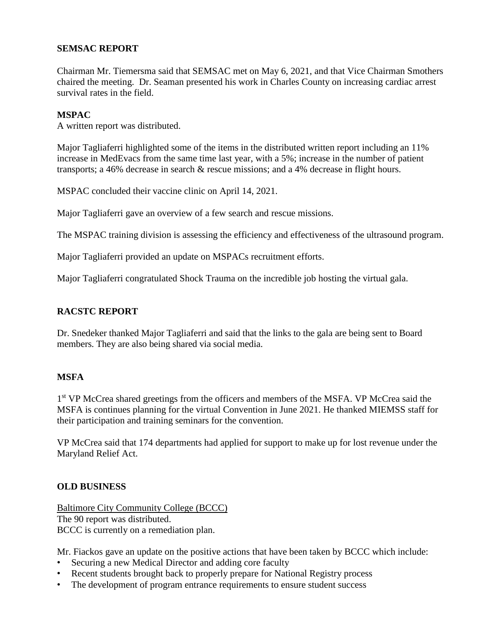## **SEMSAC REPORT**

Chairman Mr. Tiemersma said that SEMSAC met on May 6, 2021, and that Vice Chairman Smothers chaired the meeting. Dr. Seaman presented his work in Charles County on increasing cardiac arrest survival rates in the field.

#### **MSPAC**

A written report was distributed.

Major Tagliaferri highlighted some of the items in the distributed written report including an 11% increase in MedEvacs from the same time last year, with a 5%; increase in the number of patient transports; a 46% decrease in search & rescue missions; and a 4% decrease in flight hours.

MSPAC concluded their vaccine clinic on April 14, 2021.

Major Tagliaferri gave an overview of a few search and rescue missions.

The MSPAC training division is assessing the efficiency and effectiveness of the ultrasound program.

Major Tagliaferri provided an update on MSPACs recruitment efforts.

Major Tagliaferri congratulated Shock Trauma on the incredible job hosting the virtual gala.

### **RACSTC REPORT**

Dr. Snedeker thanked Major Tagliaferri and said that the links to the gala are being sent to Board members. They are also being shared via social media.

#### **MSFA**

1<sup>st</sup> VP McCrea shared greetings from the officers and members of the MSFA. VP McCrea said the MSFA is continues planning for the virtual Convention in June 2021. He thanked MIEMSS staff for their participation and training seminars for the convention.

VP McCrea said that 174 departments had applied for support to make up for lost revenue under the Maryland Relief Act.

#### **OLD BUSINESS**

Baltimore City Community College (BCCC) The 90 report was distributed. BCCC is currently on a remediation plan.

Mr. Fiackos gave an update on the positive actions that have been taken by BCCC which include:

- Securing a new Medical Director and adding core faculty
- Recent students brought back to properly prepare for National Registry process
- The development of program entrance requirements to ensure student success